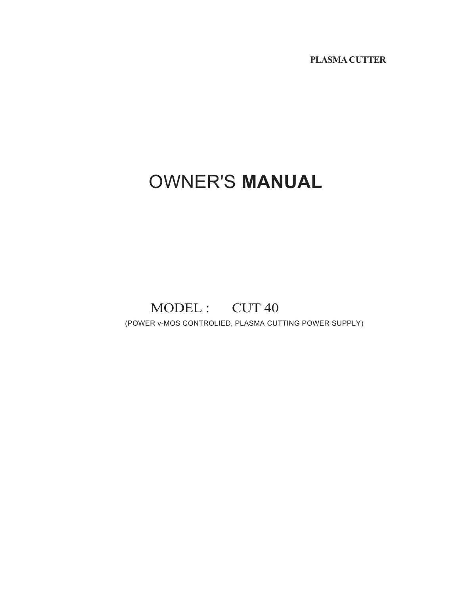**PLASMA CUTTER**

# OWNER'S **MANUAL**

## MODEL : CUT 40

(POWER v-MOS CONTROLIED, PLASMA CUTTING POWER SUPPLY)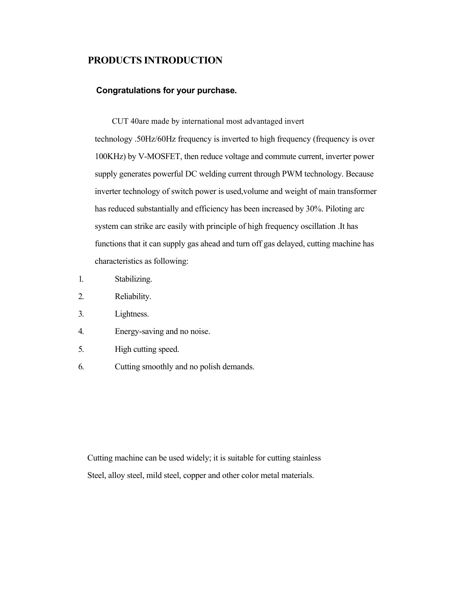#### **PRODUCTS INTRODUCTION**

#### **Congratulations for your purchase.**

CUT 40are made by international most advantaged invert technology .50Hz/60Hz frequency is inverted to high frequency (frequency is over 100KHz) by V-MOSFET, then reduce voltage and commute current, inverter power supply generates powerful DC welding current through PWM technology. Because inverter technology of switch power is used,volume and weight of main transformer has reduced substantially and efficiency has been increased by 30%. Piloting arc system can strike arc easily with principle of high frequency oscillation .It has functions that it can supply gas ahead and turn off gas delayed, cutting machine has characteristics as following:

- 1. Stabilizing.
- 2. Reliability.
- 3. Lightness.
- 4. Energy-saving and no noise.
- 5. High cutting speed.
- 6. Cutting smoothly and no polish demands.

Cutting machine can be used widely; it is suitable for cutting stainless Steel, alloy steel, mild steel, copper and other color metal materials.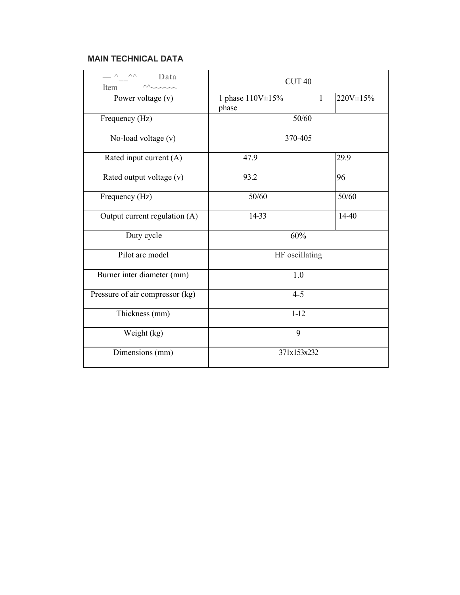#### **MAIN TECHNICAL DATA**

| $\overline{\phantom{a}}$ $\wedge$ $\overline{\phantom{a}}$ $\wedge$ $\wedge$<br>Data<br>Item | CUT <sub>40</sub>                |              |          |
|----------------------------------------------------------------------------------------------|----------------------------------|--------------|----------|
| Power voltage $(v)$                                                                          | 1 phase $110V \pm 15\%$<br>phase | $\mathbf{1}$ | 220V±15% |
| Frequency (Hz)                                                                               | 50/60                            |              |          |
| No-load voltage (v)                                                                          | 370-405                          |              |          |
| Rated input current (A)                                                                      | 47.9                             |              | 29.9     |
| Rated output voltage (v)                                                                     | 93.2                             |              | 96       |
| Frequency (Hz)                                                                               | 50/60                            |              | 50/60    |
| Output current regulation (A)                                                                | 14-33                            |              | 14-40    |
| Duty cycle                                                                                   | 60%                              |              |          |
| Pilot arc model                                                                              | HF oscillating                   |              |          |
| Burner inter diameter (mm)                                                                   | 1.0                              |              |          |
| Pressure of air compressor (kg)                                                              | $4 - 5$                          |              |          |
| Thickness (mm)                                                                               | $1-12$                           |              |          |
| Weight (kg)                                                                                  | 9                                |              |          |
| Dimensions (mm)                                                                              | 371x153x232                      |              |          |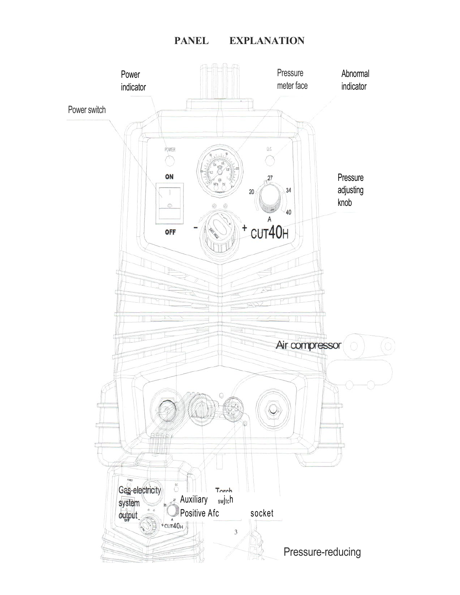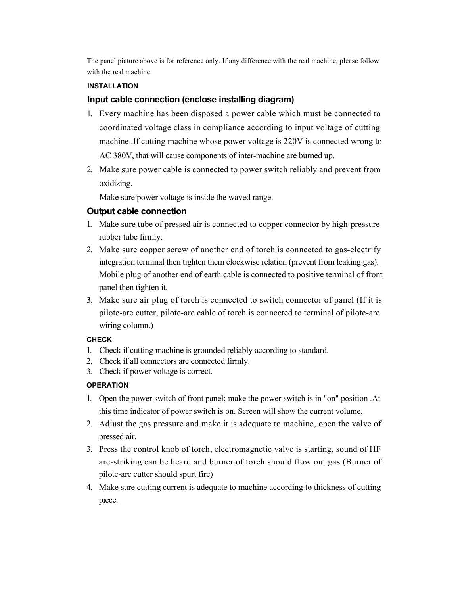The panel picture above is for reference only. If any difference with the real machine, please follow with the real machine.

#### **INSTALLATION**

#### **Input cable connection (enclose installing diagram)**

- 1. Every machine has been disposed a power cable which must be connected to coordinated voltage class in compliance according to input voltage of cutting machine .If cutting machine whose power voltage is 220V is connected wrong to AC 380V, that will cause components of inter-machine are burned up.
- 2. Make sure power cable is connected to power switch reliably and prevent from oxidizing.

Make sure power voltage is inside the waved range.

#### **Output cable connection**

- 1. Make sure tube of pressed air is connected to copper connector by high-pressure rubber tube firmly.
- 2. Make sure copper screw of another end of torch is connected to gas-electrify integration terminal then tighten them clockwise relation (prevent from leaking gas). Mobile plug of another end of earth cable is connected to positive terminal of front panel then tighten it.
- 3. Make sure air plug of torch is connected to switch connector of panel (If it is pilote-arc cutter, pilote-arc cable of torch is connected to terminal of pilote-arc wiring column.)

#### **CHECK**

- 1. Check if cutting machine is grounded reliably according to standard.
- 2. Check if all connectors are connected firmly.
- 3. Check if power voltage is correct.

#### **OPERATION**

- 1. Open the power switch of front panel; make the power switch is in "on" position .At this time indicator of power switch is on. Screen will show the current volume.
- 2. Adjust the gas pressure and make it is adequate to machine, open the valve of pressed air.
- 3. Press the control knob of torch, electromagnetic valve is starting, sound of HF arc-striking can be heard and burner of torch should flow out gas (Burner of pilote-arc cutter should spurt fire)
- 4. Make sure cutting current is adequate to machine according to thickness of cutting piece.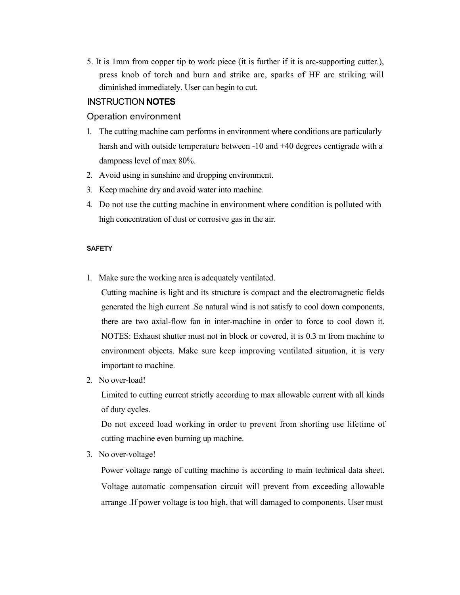5. It is 1mm from copper tip to work piece (it is further if it is arc-supporting cutter.), press knob of torch and burn and strike arc, sparks of HF arc striking will diminished immediately. User can begin to cut.

#### INSTRUCTION **NOTES**

#### Operation environment

- 1. The cutting machine cam performs in environment where conditions are particularly harsh and with outside temperature between -10 and +40 degrees centigrade with a dampness level of max 80%.
- 2. Avoid using in sunshine and dropping environment.
- 3. Keep machine dry and avoid water into machine.
- 4. Do not use the cutting machine in environment where condition is polluted with high concentration of dust or corrosive gas in the air.

#### **SAFETY**

1. Make sure the working area is adequately ventilated.

Cutting machine is light and its structure is compact and the electromagnetic fields generated the high current .So natural wind is not satisfy to cool down components, there are two axial-flow fan in inter-machine in order to force to cool down it. NOTES: Exhaust shutter must not in block or covered, it is 0.3 m from machine to environment objects. Make sure keep improving ventilated situation, it is very important to machine.

2. No over-load!

Limited to cutting current strictly according to max allowable current with all kinds of duty cycles.

Do not exceed load working in order to prevent from shorting use lifetime of cutting machine even burning up machine.

3. No over-voltage!

Power voltage range of cutting machine is according to main technical data sheet. Voltage automatic compensation circuit will prevent from exceeding allowable arrange .If power voltage is too high, that will damaged to components. User must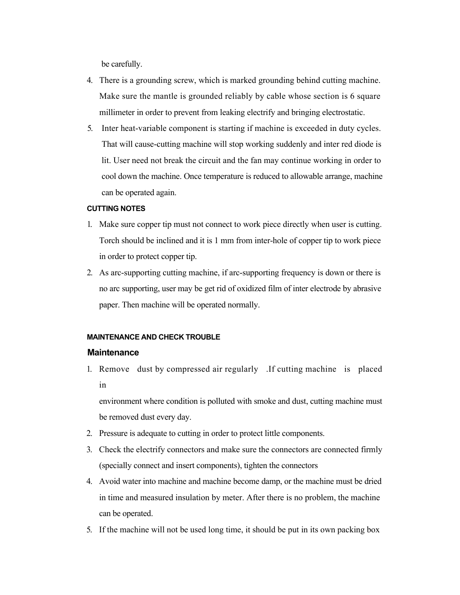be carefully.

- 4. There is a grounding screw, which is marked grounding behind cutting machine. Make sure the mantle is grounded reliably by cable whose section is 6 square millimeter in order to prevent from leaking electrify and bringing electrostatic.
- 5. Inter heat-variable component is starting if machine is exceeded in duty cycles. That will cause-cutting machine will stop working suddenly and inter red diode is lit. User need not break the circuit and the fan may continue working in order to cool down the machine. Once temperature is reduced to allowable arrange, machine can be operated again.

#### **CUTTING NOTES**

- 1. Make sure copper tip must not connect to work piece directly when user is cutting. Torch should be inclined and it is 1 mm from inter-hole of copper tip to work piece in order to protect copper tip.
- 2. As arc-supporting cutting machine, if arc-supporting frequency is down or there is no arc supporting, user may be get rid of oxidized film of inter electrode by abrasive paper. Then machine will be operated normally.

#### **MAINTENANCE AND CHECK TROUBLE**

#### **Maintenance**

1. Remove dust by compressed air regularly .If cutting machine is placed in

environment where condition is polluted with smoke and dust, cutting machine must be removed dust every day.

- 2. Pressure is adequate to cutting in order to protect little components.
- 3. Check the electrify connectors and make sure the connectors are connected firmly (specially connect and insert components), tighten the connectors
- 4. Avoid water into machine and machine become damp, or the machine must be dried in time and measured insulation by meter. After there is no problem, the machine can be operated.
- 5. If the machine will not be used long time, it should be put in its own packing box